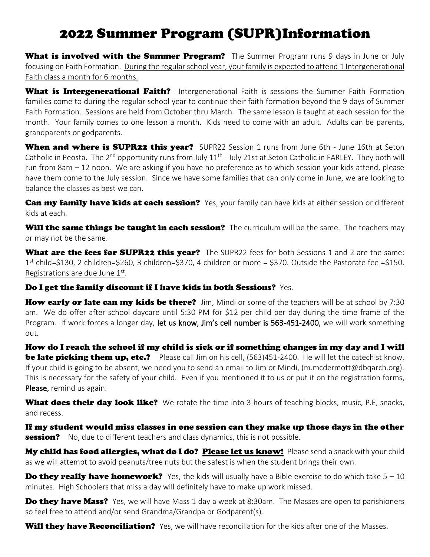# 2022 Summer Program (SUPR)Information

What is involved with the Summer Program? The Summer Program runs 9 days in June or July focusing on Faith Formation. During the regular school year, your family is expected to attend 1 Intergenerational Faith class a month for 6 months.

What is Intergenerational Faith? Intergenerational Faith is sessions the Summer Faith Formation families come to during the regular school year to continue their faith formation beyond the 9 days of Summer Faith Formation. Sessions are held from October thru March. The same lesson is taught at each session for the month. Your family comes to one lesson a month. Kids need to come with an adult. Adults can be parents, grandparents or godparents.

When and where is SUPR22 this year? SUPR22 Session 1 runs from June 6th - June 16th at Seton Catholic in Peosta. The 2<sup>nd</sup> opportunity runs from July 11<sup>th</sup> - July 21st at Seton Catholic in FARLEY. They both will run from 8am – 12 noon. We are asking if you have no preference as to which session your kids attend, please have them come to the July session. Since we have some families that can only come in June, we are looking to balance the classes as best we can.

Can my family have kids at each session? Yes, your family can have kids at either session or different kids at each.

Will the same things be taught in each session? The curriculum will be the same. The teachers may or may not be the same.

What are the fees for SUPR22 this year? The SUPR22 fees for both Sessions 1 and 2 are the same: 1 st child=\$130, 2 children=\$260, 3 children=\$370, 4 children or more = \$370. Outside the Pastorate fee =\$150. Registrations are due June 1st.

### Do I get the family discount if I have kids in both Sessions? Yes.

How early or late can my kids be there? Jim, Mindi or some of the teachers will be at school by 7:30 am. We do offer after school daycare until 5:30 PM for \$12 per child per day during the time frame of the Program. If work forces a longer day, let us know, Jim's cell number is 563-451-2400, we will work something out.

How do I reach the school if my child is sick or if something changes in my day and I will **be late picking them up, etc.?** Please call Jim on his cell, (563)451-2400. He will let the catechist know. If your child is going to be absent, we need you to send an email to Jim or Mindi, (m.mcdermott@dbqarch.org). This is necessary for the safety of your child. Even if you mentioned it to us or put it on the registration forms, Please, remind us again.

What does their day look like? We rotate the time into 3 hours of teaching blocks, music, P.E, snacks, and recess.

If my student would miss classes in one session can they make up those days in the other **session?** No, due to different teachers and class dynamics, this is not possible.

My child has food allergies, what do I do? Please let us know! Please send a snack with your child as we will attempt to avoid peanuts/tree nuts but the safest is when the student brings their own.

**Do they really have homework?** Yes, the kids will usually have a Bible exercise to do which take  $5 - 10$ minutes. High Schoolers that miss a day will definitely have to make up work missed.

**Do they have Mass?** Yes, we will have Mass 1 day a week at 8:30am. The Masses are open to parishioners so feel free to attend and/or send Grandma/Grandpa or Godparent(s).

Will they have Reconciliation? Yes, we will have reconciliation for the kids after one of the Masses.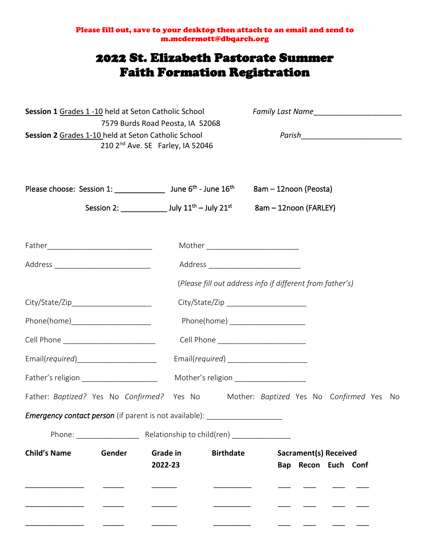Please fill out, save to your desktop then attach to an email and send to m.mcdermott@dbqarch.org

# 2022 St. Elizabeth Pastorate Summer Faith Formation Registration

| Session 1 Grades 1 -10 held at Seton Catholic School                                                                                    |                     |                  |                                                           |                                                     |
|-----------------------------------------------------------------------------------------------------------------------------------------|---------------------|------------------|-----------------------------------------------------------|-----------------------------------------------------|
| 7579 Burds Road Peosta, IA 52068<br>Session 2 Grades 1-10 held at Seton Catholic School<br>210 2 <sup>nd</sup> Ave. SE Farley, IA 52046 |                     |                  |                                                           |                                                     |
| Please choose: Session 1: _______________ June 6 <sup>th</sup> - June 16 <sup>th</sup>                                                  |                     |                  | 8am - 12noon (Peosta)                                     |                                                     |
| Session 2: ________________ July $11^{th}$ – July $21^{st}$                                                                             |                     |                  | 8am - 12noon (FARLEY)                                     |                                                     |
|                                                                                                                                         |                     |                  | Mother ___________________________                        |                                                     |
| Address ________________________________                                                                                                |                     |                  |                                                           |                                                     |
|                                                                                                                                         |                     |                  | (Please fill out address info if different from father's) |                                                     |
|                                                                                                                                         |                     |                  |                                                           |                                                     |
| Phone(home)________________________                                                                                                     |                     |                  | Phone(home) ______________________                        |                                                     |
| Cell Phone _________________________                                                                                                    |                     |                  |                                                           |                                                     |
| Email(required)_______________________                                                                                                  |                     |                  | Email(required) _______________________                   |                                                     |
| Father's religion ______________________                                                                                                |                     |                  | Mother's religion ___________________                     |                                                     |
| Father: Baptized? Yes No Confirmed? Yes No                                                                                              |                     |                  |                                                           | Mother: Baptized Yes No Confirmed Yes No            |
| Emergency contact person (if parent is not available): ________________________                                                         |                     |                  |                                                           |                                                     |
| Phone: The Relationship to child(ren) [100]                                                                                             |                     |                  |                                                           |                                                     |
| <b>Child's Name</b><br>Gender                                                                                                           | Grade in<br>2022-23 | <b>Birthdate</b> |                                                           | <b>Sacrament(s) Received</b><br>Bap Recon Euch Conf |
|                                                                                                                                         |                     |                  |                                                           |                                                     |
|                                                                                                                                         |                     |                  |                                                           |                                                     |
|                                                                                                                                         |                     |                  |                                                           |                                                     |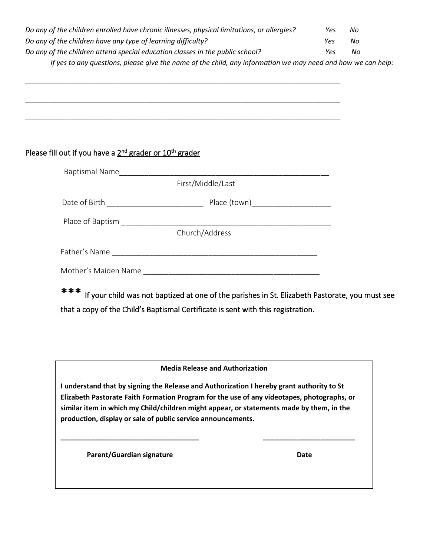| Do any of the children enrolled have chronic illnesses, physical limitations, or allergies? | Yes | Nο |
|---------------------------------------------------------------------------------------------|-----|----|
| Do any of the children have any type of learning difficulty?                                | Yes | No |
| Do any of the children attend special education classes in the public school?               | Υρς | No |

\_\_\_\_\_\_\_\_\_\_\_\_\_\_\_\_\_\_\_\_\_\_\_\_\_\_\_\_\_\_\_\_\_\_\_\_\_\_\_\_\_\_\_\_\_\_\_\_\_\_\_\_\_\_\_\_\_\_\_\_\_\_\_\_\_\_\_\_\_\_\_\_\_\_\_\_\_\_\_\_\_\_

\_\_\_\_\_\_\_\_\_\_\_\_\_\_\_\_\_\_\_\_\_\_\_\_\_\_\_\_\_\_\_\_\_\_\_\_\_\_\_\_\_\_\_\_\_\_\_\_\_\_\_\_\_\_\_\_\_\_\_\_\_\_\_\_\_\_\_\_\_\_\_\_\_\_\_\_\_\_\_\_\_\_

\_\_\_\_\_\_\_\_\_\_\_\_\_\_\_\_\_\_\_\_\_\_\_\_\_\_\_\_\_\_\_\_\_\_\_\_\_\_\_\_\_\_\_\_\_\_\_\_\_\_\_\_\_\_\_\_\_\_\_\_\_\_\_\_\_\_\_\_\_\_\_\_\_\_\_\_\_\_\_\_\_\_

*If yes to any questions, please give the name of the child, any information we may need and how we can help:* 

### Please fill out if you have a 2<sup>nd</sup> grader or 10<sup>th</sup> grader

| <b>Baptismal Name</b> |                   |
|-----------------------|-------------------|
|                       | First/Middle/Last |
| Date of Birth         | Place (town)      |
| Place of Baptism      |                   |
|                       | Church/Address    |
| Father's Name         |                   |
| Mother's Maiden Name  |                   |

\*\*\* If your child was not baptized at one of the parishes in St. Elizabeth Pastorate, you must see that a copy of the Child's Baptismal Certificate is sent with this registration.

#### **Media Release and Authorization**

 **I understand that by signing the Release and Authorization I hereby grant authority to St similar item in which my Child/children might appear, or statements made by them, in the production, display or sale of public service announcements. Elizabeth Pastorate Faith Formation Program for the use of any videotapes, photographs, or** 

**\_\_\_\_\_\_\_\_\_\_\_\_\_\_\_\_\_\_\_\_\_\_\_\_\_\_\_\_\_\_\_\_\_\_\_\_ \_\_\_\_\_\_\_\_\_\_\_\_\_\_\_\_\_\_\_\_\_\_\_\_**

**Parent/Guardian signature Date Community Community Parents Date** 

-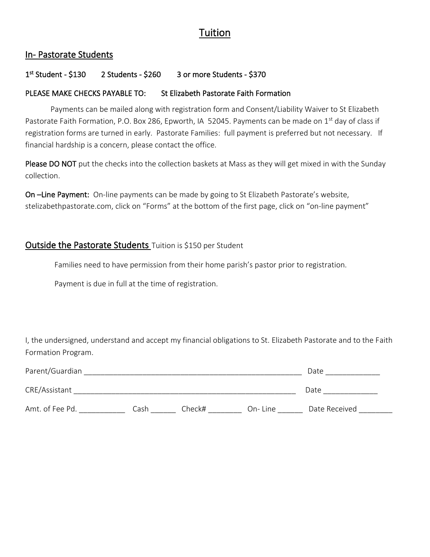# Tuition

### In- Pastorate Students

#### 1 st 2 Students - \$260 3 or more Students - \$370

#### PLEASE MAKE CHECKS PAYABLE TO: St Elizabeth Pastorate Faith Formation

 Payments can be mailed along with registration form and Consent/Liability Waiver to St Elizabeth Pastorate Faith Formation, P.O. Box 286, Epworth, IA 52045. Payments can be made on 1<sup>st</sup> day of class if registration forms are turned in early. Pastorate Families: full payment is preferred but not necessary. If financial hardship is a concern, please contact the office.

Please DO NOT put the checks into the collection baskets at Mass as they will get mixed in with the Sunday collection.

On -Line Payment: On-line payments can be made by going to St Elizabeth Pastorate's website, stelizabethpastorate.com, click on "Forms" at the bottom of the first page, click on "on-line payment"

# Outside the Pastorate Students Tuition is \$150 per Student

Families need to have permission from their home parish's pastor prior to registration.

Payment is due in full at the time of registration.

I, the undersigned, understand and accept my financial obligations to St. Elizabeth Pastorate and to the Faith Formation Program.

| Parent/Guardian |      |        |         | Date          |
|-----------------|------|--------|---------|---------------|
| CRE/Assistant   |      |        |         | Date          |
| Amt. of Fee Pd. | Cash | Check# | On-Line | Date Received |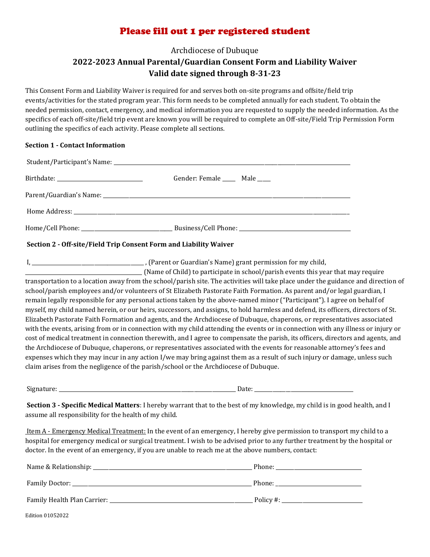# Please fill out 1 per registered student

Archdiocese of Dubuque

# **2022-2023 Annual Parental/Guardian Consent Form and Liability Waiver Valid date signed through 8-31-23**

This Consent Form and Liability Waiver is required for and serves both on-site programs and offsite/field trip events/activities for the stated program year. This form needs to be completed annually for each student. To obtain the needed permission, contact, emergency, and medical information you are requested to supply the needed information. As the specifics of each off-site/field trip event are known you will be required to complete an Off-site/Field Trip Permission Form outlining the specifics of each activity. Please complete all sections.

#### **Section 1 - Contact Information**

| Gender: Female ______ Male _____ |
|----------------------------------|
|                                  |
|                                  |
|                                  |

#### **Section 2 - Off-site/Field Trip Consent Form and Liability Waiver**

I, \_\_\_\_\_\_\_\_\_\_\_\_\_\_\_\_\_\_\_\_\_\_\_\_\_\_\_\_\_\_\_\_\_\_\_\_\_\_\_\_\_\_\_ , (Parent or Guardian's Name) grant permission for my child,

\_\_\_\_\_\_\_\_\_\_\_\_\_\_\_\_\_\_\_\_\_\_\_\_\_\_\_\_\_\_\_\_\_\_\_\_\_\_\_\_\_\_\_\_\_ (Name of Child) to participate in school/parish events this year that may require transportation to a location away from the school/parish site. The activities will take place under the guidance and direction of school/parish employees and/or volunteers of St Elizabeth Pastorate Faith Formation. As parent and/or legal guardian, I remain legally responsible for any personal actions taken by the above-named minor ("Participant"). I agree on behalf of myself, my child named herein, or our heirs, successors, and assigns, to hold harmless and defend, its officers, directors of St. Elizabeth Pastorate Faith Formation and agents, and the Archdiocese of Dubuque, chaperons, or representatives associated with the events, arising from or in connection with my child attending the events or in connection with any illness or injury or cost of medical treatment in connection therewith, and I agree to compensate the parish, its officers, directors and agents, and the Archdiocese of Dubuque, chaperons, or representatives associated with the events for reasonable attorney's fees and expenses which they may incur in any action I/we may bring against them as a result of such injury or damage, unless such claim arises from the negligence of the parish/school or the Archdiocese of Dubuque.

Signature: \_\_\_\_\_\_\_\_\_\_\_\_\_\_\_\_\_\_\_\_\_\_\_\_\_\_\_\_\_\_\_\_\_\_\_\_\_\_\_\_\_\_\_\_\_\_\_\_\_\_\_\_\_\_\_\_\_\_\_\_\_\_\_\_\_\_\_\_ Date: \_\_\_\_\_\_\_\_\_\_\_\_\_\_\_\_\_\_\_\_\_\_\_\_\_\_\_\_\_\_\_\_\_\_\_\_\_\_

**Section 3 - Specific Medical Matters**: I hereby warrant that to the best of my knowledge, my child is in good health, and I assume all responsibility for the health of my child.

Item A - Emergency Medical Treatment: In the event of an emergency, I hereby give permission to transport my child to a hospital for emergency medical or surgical treatment. I wish to be advised prior to any further treatment by the hospital or doctor. In the event of an emergency, if you are unable to reach me at the above numbers, contact:

| Name & Relationship:        | Phone:    |
|-----------------------------|-----------|
| Family Doctor:              | Phone:    |
| Family Health Plan Carrier: | Policy #: |

Edition 01052022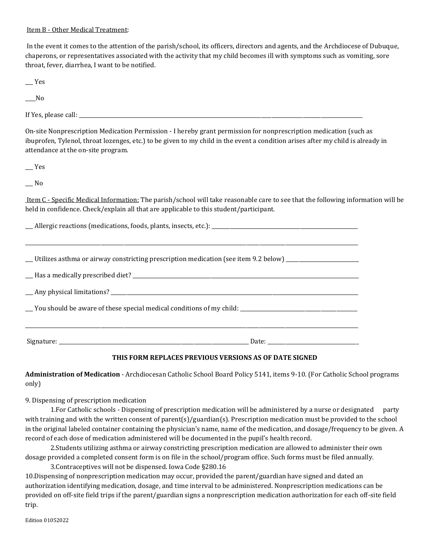#### Item B - Other Medical Treatment:

In the event it comes to the attention of the parish/school, its officers, directors and agents, and the Archdiocese of Dubuque, chaperons, or representatives associated with the activity that my child becomes ill with symptoms such as vomiting, sore throat, fever, diarrhea, I want to be notified.

\_\_\_ Yes

 $\sqrt{N}$ 

If Yes, please call:  $\frac{1}{\sqrt{2}}$   $\frac{1}{\sqrt{2}}$   $\frac{1}{\sqrt{2}}$   $\frac{1}{\sqrt{2}}$   $\frac{1}{\sqrt{2}}$   $\frac{1}{\sqrt{2}}$   $\frac{1}{\sqrt{2}}$   $\frac{1}{\sqrt{2}}$   $\frac{1}{\sqrt{2}}$   $\frac{1}{\sqrt{2}}$   $\frac{1}{\sqrt{2}}$   $\frac{1}{\sqrt{2}}$   $\frac{1}{\sqrt{2}}$   $\frac{1}{\sqrt{2}}$   $\frac{1}{\sqrt{2}}$   $\frac{1$ 

On-site Nonprescription Medication Permission - I hereby grant permission for nonprescription medication (such as ibuprofen, Tylenol, throat lozenges, etc.) to be given to my child in the event a condition arises after my child is already in attendance at the on-site program.

\_\_\_ Yes

\_\_\_ No

Item C - Specific Medical Information: The parish/school will take reasonable care to see that the following information will be held in confidence. Check/explain all that are applicable to this student/participant.

 $\Delta$ llergic reactions (medications, foods, plants, insects, etc.):  $\Delta$ \_\_\_\_\_\_\_\_\_\_\_\_\_\_\_\_\_\_\_\_\_\_\_\_\_\_\_\_\_\_\_\_\_\_\_\_\_\_\_\_\_\_\_\_\_\_\_\_\_\_\_\_\_\_\_\_\_\_\_\_\_\_\_\_\_\_\_\_\_\_\_\_\_\_\_\_\_\_\_\_\_\_\_\_\_\_\_\_\_\_\_\_\_\_\_\_\_\_\_\_\_\_\_\_\_\_\_\_\_\_\_\_\_\_\_\_\_\_\_\_\_\_\_\_\_\_\_\_ \_\_\_ Utilizes asthma or airway constricting prescription medication (see item 9.2 below) \_\_\_\_\_\_\_\_\_\_\_\_\_\_\_\_\_\_\_\_\_\_\_\_\_\_\_\_ \_\_\_ Has a medically prescribed diet? \_\_\_\_\_\_\_\_\_\_\_\_\_\_\_\_\_\_\_\_\_\_\_\_\_\_\_\_\_\_\_\_\_\_\_\_\_\_\_\_\_\_\_\_\_\_\_\_\_\_\_\_\_\_\_\_\_\_\_\_\_\_\_\_\_\_\_\_\_\_\_\_\_\_\_\_\_\_\_\_\_\_\_\_\_\_\_ \_\_\_ Any physical limitations? \_\_\_\_\_\_\_\_\_\_\_\_\_\_\_\_\_\_\_\_\_\_\_\_\_\_\_\_\_\_\_\_\_\_\_\_\_\_\_\_\_\_\_\_\_\_\_\_\_\_\_\_\_\_\_\_\_\_\_\_\_\_\_\_\_\_\_\_\_\_\_\_\_\_\_\_\_\_\_\_\_\_\_\_\_\_\_\_\_\_\_\_\_\_\_ \_\_\_ You should be aware of these special medical conditions of my child: \_\_\_\_\_\_\_\_\_\_\_\_\_\_\_\_\_\_\_\_\_\_\_\_\_\_\_\_\_\_\_\_\_\_\_\_\_\_\_\_\_\_\_\_\_

\_\_\_\_\_\_\_\_\_\_\_\_\_\_\_\_\_\_\_\_\_\_\_\_\_\_\_\_\_\_\_\_\_\_\_\_\_\_\_\_\_\_\_\_\_\_\_\_\_\_\_\_\_\_\_\_\_\_\_\_\_\_\_\_\_\_\_\_\_\_\_\_\_\_\_\_\_\_\_\_\_\_\_\_\_\_\_\_\_\_\_\_\_\_\_\_\_\_\_\_\_\_\_\_\_\_\_\_\_\_\_\_\_\_\_\_\_\_\_\_\_\_\_\_\_\_\_\_

Signature: \_\_\_\_\_\_\_\_\_\_\_\_\_\_\_\_\_\_\_\_\_\_\_\_\_\_\_\_\_\_\_\_\_\_\_\_\_\_\_\_\_\_\_\_\_\_\_\_\_\_\_\_\_\_\_\_\_\_\_\_\_\_\_\_\_\_\_\_\_\_\_\_\_ Date: \_\_\_\_\_\_\_\_\_\_\_\_\_\_\_\_\_\_\_\_\_\_\_\_\_\_\_\_\_\_\_\_\_\_\_

#### **THIS FORM REPLACES PREVIOUS VERSIONS AS OF DATE SIGNED**

**Administration of Medication** - Archdiocesan Catholic School Board Policy 5141, items 9-10. (For Catholic School programs only)

9. Dispensing of prescription medication

1. For Catholic schools - Dispensing of prescription medication will be administered by a nurse or designated party with training and with the written consent of parent(s)/guardian(s). Prescription medication must be provided to the school in the original labeled container containing the physician's name, name of the medication, and dosage/frequency to be given. A record of each dose of medication administered will be documented in the pupil's health record.

2.Students utilizing asthma or airway constricting prescription medication are allowed to administer their own dosage provided a completed consent form is on file in the school/program office. Such forms must be filed annually.

3.Contraceptives will not be dispensed. Iowa Code §280.16 10.Dispensing of nonprescription medication may occur, provided the parent/guardian have signed and dated an authorization identifying medication, dosage, and time interval to be administered. Nonprescription medications can be provided on off-site field trips if the parent/guardian signs a nonprescription medication authorization for each off-site field trip.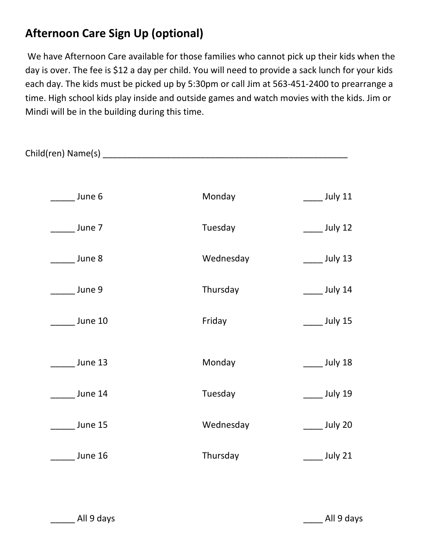# **Afternoon Care Sign Up (optional)**

We have Afternoon Care available for those families who cannot pick up their kids when the day is over. The fee is \$12 a day per child. You will need to provide a sack lunch for your kids each day. The kids must be picked up by 5:30pm or call Jim at 563-451-2400 to prearrange a time. High school kids play inside and outside games and watch movies with the kids. Jim or Mindi will be in the building during this time.

| June 6                | Monday    | $\frac{1}{2}$ July 11 |
|-----------------------|-----------|-----------------------|
| June 7                | Tuesday   | $\frac{1}{2}$ July 12 |
| June 8                | Wednesday | $\frac{1}{2}$ July 13 |
| June 9                | Thursday  | $\frac{1}{2}$ July 14 |
| $\frac{1}{2}$ June 10 | Friday    | $\frac{1}{2}$ July 15 |
| $\frac{1}{2}$ June 13 | Monday    | $\frac{1}{2}$ July 18 |
| June 14               | Tuesday   | $\frac{1}{2}$ July 19 |
| June 15               | Wednesday | $\frac{1}{2}$ July 20 |
| $\_$ June 16          | Thursday  | July 21               |